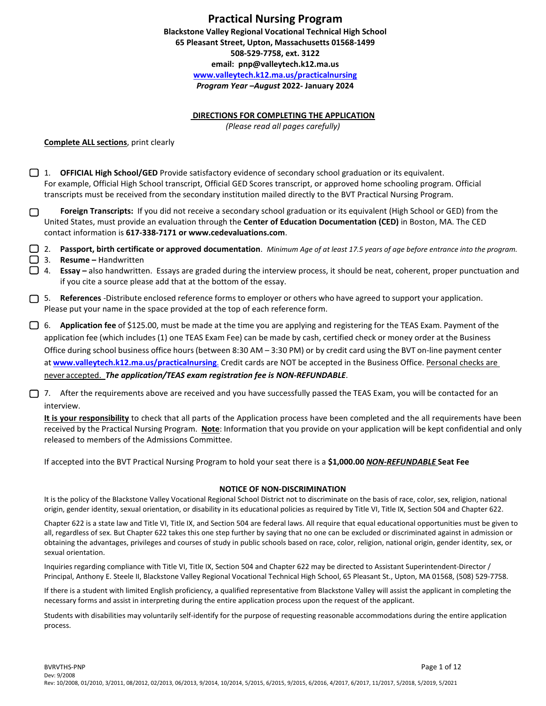## **Practical Nursing Program**

**Blackstone Valley Regional Vocational Technical High School 65 Pleasant Street, Upton, Massachusetts 01568-1499 508-529-7758, ext. 3122 [email: pnp@valleytech.k12.ma.us](mailto:email:%20%20pnp@valleytech.k12.ma.us) [www.valleytech.k12.ma.us/practicalnursing](http://www.valleytech.k12.ma.us/practicalnursing)** *Program Year –August* **2022- January 2024**

#### **DIRECTIONS FOR COMPLETING THE APPLICATION**

*(Please read all pages carefully)*

**Complete ALL sections**, print clearly

- 1. **OFFICIAL High School/GED** Provide satisfactory evidence of secondary school graduation or its equivalent. For example, Official High School transcript, Official GED Scores transcript, or approved home schooling program. Official transcripts must be received from the secondary institution mailed directly to the BVT Practical Nursing Program.
- **Foreign Transcripts:** If you did not receive a secondary school graduation or its equivalent (High School or GED) from the ∩ United States, must provide an evaluation through the **Center of Education Documentation (CED)** in Boston, MA. The CED contact information is **617-338-7171 or www.cedevaluations.com**.
- 2. **Passport, birth certificate or approved documentation**. *Minimum Age of at least 17.5 years of age before entrance into the program.*
- 3. **Resume –** Handwritten
- **1. Essay** also handwritten. Essays are graded during the interview process, it should be neat, coherent, proper punctuation and if you cite a source please add that at the bottom of the essay.
- **5. References** -Distribute enclosed reference forms to employer or others who have agreed to support your application. Please put your name in the space provided at the top of each reference form.

6. **Application fee** of \$125.00, must be made at the time you are applying and registering for the TEAS Exam. Payment of the application fee (which includes (1) one TEAS Exam Fee) can be made by cash, certified check or money order at the Business Office during school business office hours (between 8:30 AM – 3:30 PM) or by credit card using the BVT on-line payment center at **[www.valleytech.k12.ma.us/practicalnursing](http://www.valleytech.k12.ma.us/practicalnursing)**. Credit cards are NOT be accepted in the Business Office. Personal checks are never accepted. *The application/TEAS exam registration fee is NON-REFUNDABLE*.

7. After the requirements above are received and you have successfully passed the TEAS Exam, you will be contacted for an interview.

**It is your responsibility** to check that all parts of the Application process have been completed and the all requirements have been received by the Practical Nursing Program. **Note**: Information that you provide on your application will be kept confidential and only released to members of the Admissions Committee.

If accepted into the BVT Practical Nursing Program to hold your seat there is a **\$1,000.00** *NON-REFUNDABLE* **Seat Fee**

#### **NOTICE OF NON-DISCRIMINATION**

It is the policy of the Blackstone Valley Vocational Regional School District not to discriminate on the basis of race, color, sex, religion, national origin, gender identity, sexual orientation, or disability in its educational policies as required by Title VI, Title IX, Section 504 and Chapter 622.

Chapter 622 is a state law and Title VI, Title IX, and Section 504 are federal laws. All require that equal educational opportunities must be given to all, regardless of sex. But Chapter 622 takes this one step further by saying that no one can be excluded or discriminated against in admission or obtaining the advantages, privileges and courses of study in public schools based on race, color, religion, national origin, gender identity, sex, or sexual orientation.

Inquiries regarding compliance with Title VI, Title IX, Section 504 and Chapter 622 may be directed to Assistant Superintendent-Director / Principal, Anthony E. Steele II, Blackstone Valley Regional Vocational Technical High School, 65 Pleasant St., Upton, MA 01568, (508) 529-7758.

If there is a student with limited English proficiency, a qualified representative from Blackstone Valley will assist the applicant in completing the necessary forms and assist in interpreting during the entire application process upon the request of the applicant.

Students with disabilities may voluntarily self-identify for the purpose of requesting reasonable accommodations during the entire application process.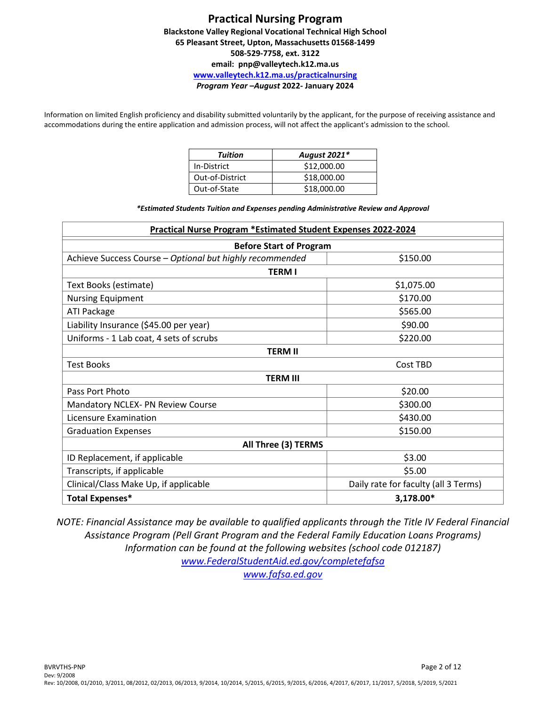Information on limited English proficiency and disability submitted voluntarily by the applicant, for the purpose of receiving assistance and accommodations during the entire application and admission process, will not affect the applicant's admission to the school.

| Tuition         | August 2021* |
|-----------------|--------------|
| In-District     | \$12,000.00  |
| Out-of-District | \$18,000.00  |
| Out-of-State    | \$18,000.00  |

*\*Estimated Students Tuition and Expenses pending Administrative Review and Approval*

| <b>Practical Nurse Program *Estimated Student Expenses 2022-2024</b>          |            |  |  |  |
|-------------------------------------------------------------------------------|------------|--|--|--|
| <b>Before Start of Program</b>                                                |            |  |  |  |
| Achieve Success Course - Optional but highly recommended                      | \$150.00   |  |  |  |
| <b>TERM I</b>                                                                 |            |  |  |  |
| Text Books (estimate)                                                         | \$1,075.00 |  |  |  |
| <b>Nursing Equipment</b>                                                      | \$170.00   |  |  |  |
| ATI Package                                                                   | \$565.00   |  |  |  |
| Liability Insurance (\$45.00 per year)                                        | \$90.00    |  |  |  |
| Uniforms - 1 Lab coat, 4 sets of scrubs                                       | \$220.00   |  |  |  |
| <b>TERM II</b>                                                                |            |  |  |  |
| <b>Test Books</b><br>Cost TBD                                                 |            |  |  |  |
| <b>TERM III</b>                                                               |            |  |  |  |
| Pass Port Photo                                                               | \$20.00    |  |  |  |
| \$300.00<br>Mandatory NCLEX- PN Review Course                                 |            |  |  |  |
| \$430.00<br>Licensure Examination                                             |            |  |  |  |
| \$150.00<br><b>Graduation Expenses</b>                                        |            |  |  |  |
| All Three (3) TERMS                                                           |            |  |  |  |
| ID Replacement, if applicable                                                 | \$3.00     |  |  |  |
| \$5.00<br>Transcripts, if applicable                                          |            |  |  |  |
| Daily rate for faculty (all 3 Terms)<br>Clinical/Class Make Up, if applicable |            |  |  |  |
| <b>Total Expenses*</b><br>3,178.00*                                           |            |  |  |  |

*NOTE: Financial Assistance may be available to qualified applicants through the Title IV Federal Financial Assistance Program (Pell Grant Program and the Federal Family Education Loans Programs) Information can be found at the following websites (school code 012187) [www.FederalStudentAid.ed.gov/completefafsa](http://www.federalstudentaid.ed.gov/completefafsa) [www.fafsa.ed.gov](http://www.fafsa.ed.gov/)*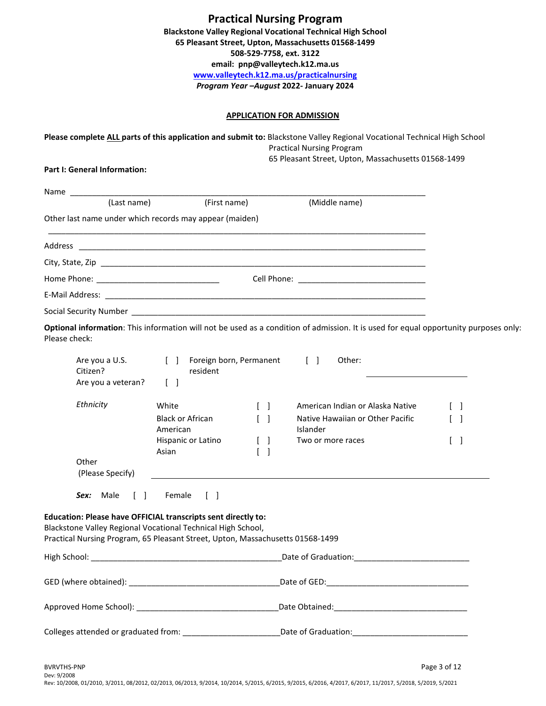| <b>Practical Nursing Program</b>                                   |
|--------------------------------------------------------------------|
| <b>Blackstone Valley Regional Vocational Technical High School</b> |
| 65 Pleasant Street, Upton, Massachusetts 01568-1499                |
| 508-529-7758, ext. 3122                                            |
| email: pnp@valleytech.k12.ma.us                                    |
| www.valleytech.k12.ma.us/practicalnursing                          |
| Program Year-August 2022- January 2024                             |

## **APPLICATION FOR ADMISSION**

|                                                                                                                                                                                                                 |                                                   |                                 | Please complete ALL parts of this application and submit to: Blackstone Valley Regional Vocational Technical High School<br><b>Practical Nursing Program</b><br>65 Pleasant Street, Upton, Massachusetts 01568-1499 |                   |
|-----------------------------------------------------------------------------------------------------------------------------------------------------------------------------------------------------------------|---------------------------------------------------|---------------------------------|---------------------------------------------------------------------------------------------------------------------------------------------------------------------------------------------------------------------|-------------------|
| Part I: General Information:                                                                                                                                                                                    |                                                   |                                 |                                                                                                                                                                                                                     |                   |
| Name                                                                                                                                                                                                            |                                                   |                                 |                                                                                                                                                                                                                     |                   |
| (Last name)                                                                                                                                                                                                     | (First name)                                      |                                 | (Middle name)                                                                                                                                                                                                       |                   |
| Other last name under which records may appear (maiden)                                                                                                                                                         |                                                   |                                 |                                                                                                                                                                                                                     |                   |
|                                                                                                                                                                                                                 |                                                   |                                 |                                                                                                                                                                                                                     |                   |
|                                                                                                                                                                                                                 |                                                   |                                 |                                                                                                                                                                                                                     |                   |
|                                                                                                                                                                                                                 |                                                   |                                 |                                                                                                                                                                                                                     |                   |
|                                                                                                                                                                                                                 |                                                   |                                 |                                                                                                                                                                                                                     |                   |
|                                                                                                                                                                                                                 |                                                   |                                 |                                                                                                                                                                                                                     |                   |
| Please check:                                                                                                                                                                                                   |                                                   |                                 | Optional information: This information will not be used as a condition of admission. It is used for equal opportunity purposes only:                                                                                |                   |
| Are you a U.S.<br>Citizen?                                                                                                                                                                                      | [ ] Foreign born, Permanent<br>resident           |                                 | $\begin{bmatrix} 1 & 1 \end{bmatrix}$<br>Other:                                                                                                                                                                     |                   |
| Are you a veteran?                                                                                                                                                                                              | $\begin{bmatrix} \end{bmatrix}$                   |                                 |                                                                                                                                                                                                                     |                   |
| Ethnicity                                                                                                                                                                                                       | White                                             | $\begin{bmatrix} \end{bmatrix}$ | American Indian or Alaska Native                                                                                                                                                                                    | $\lceil$ 1        |
|                                                                                                                                                                                                                 | <b>Black or African</b>                           | $\begin{bmatrix} \end{bmatrix}$ | Native Hawaiian or Other Pacific                                                                                                                                                                                    | $\lceil$ $\rceil$ |
|                                                                                                                                                                                                                 | American<br>Hispanic or Latino                    | $\begin{bmatrix} \end{bmatrix}$ | Islander<br>Two or more races                                                                                                                                                                                       | L<br>- 1          |
| Other<br>(Please Specify)                                                                                                                                                                                       | Asian                                             | $\begin{bmatrix} \end{bmatrix}$ |                                                                                                                                                                                                                     |                   |
| Sex: Male<br>$\begin{bmatrix} \end{bmatrix}$                                                                                                                                                                    | Female<br>$\begin{array}{ccc} \hline \end{array}$ |                                 |                                                                                                                                                                                                                     |                   |
| Education: Please have OFFICIAL transcripts sent directly to:<br>Blackstone Valley Regional Vocational Technical High School.<br>Practical Nursing Program, 65 Pleasant Street, Upton, Massachusetts 01568-1499 |                                                   |                                 |                                                                                                                                                                                                                     |                   |
|                                                                                                                                                                                                                 |                                                   |                                 |                                                                                                                                                                                                                     |                   |
|                                                                                                                                                                                                                 |                                                   |                                 |                                                                                                                                                                                                                     |                   |
|                                                                                                                                                                                                                 |                                                   |                                 |                                                                                                                                                                                                                     |                   |
|                                                                                                                                                                                                                 |                                                   |                                 | Colleges attended or graduated from: ________________________Date of Graduation: _____________________________                                                                                                      |                   |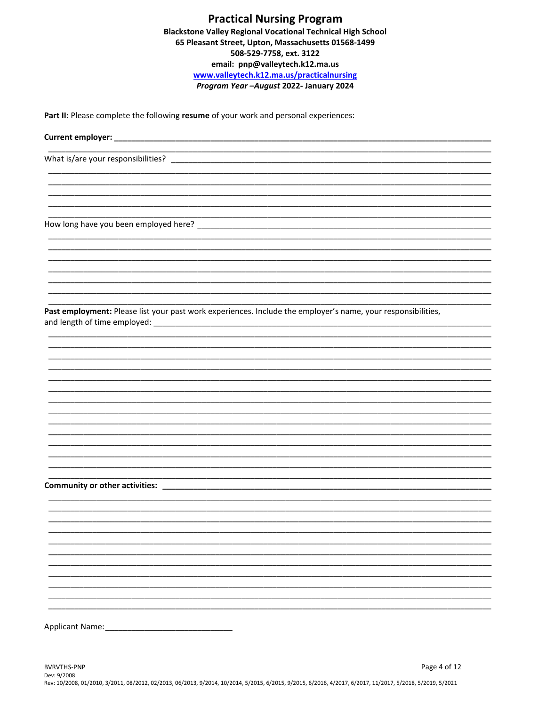Part II: Please complete the following resume of your work and personal experiences:

Current employer:

What is/are your responsibilities?

Past employment: Please list your past work experiences. Include the employer's name, your responsibilities, 

Community or other activities: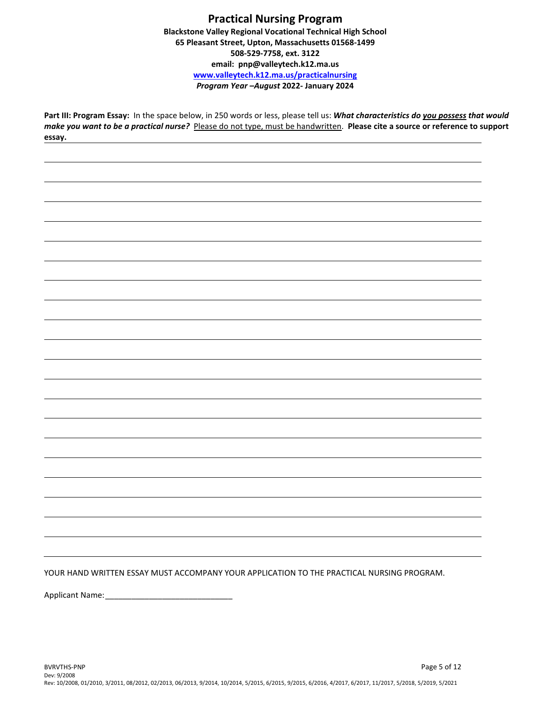**Part III: Program Essay:** In the space below, in 250 words or less, please tell us: *What characteristics do you possess that would make you want to be a practical nurse?* Please do not type, must be handwritten. **Please cite a source or reference to support essay.**

YOUR HAND WRITTEN ESSAY MUST ACCOMPANY YOUR APPLICATION TO THE PRACTICAL NURSING PROGRAM.

Applicant Name: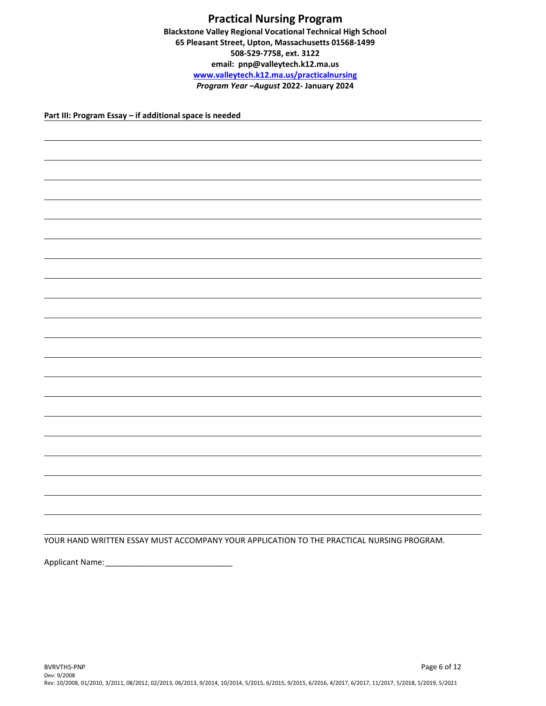**Part III: Program Essay – if additional space is needed**

YOUR HAND WRITTEN ESSAY MUST ACCOMPANY YOUR APPLICATION TO THE PRACTICAL NURSING PROGRAM.

Applicant Name:\_\_\_\_\_\_\_\_\_\_\_\_\_\_\_\_\_\_\_\_\_\_\_\_\_\_\_\_\_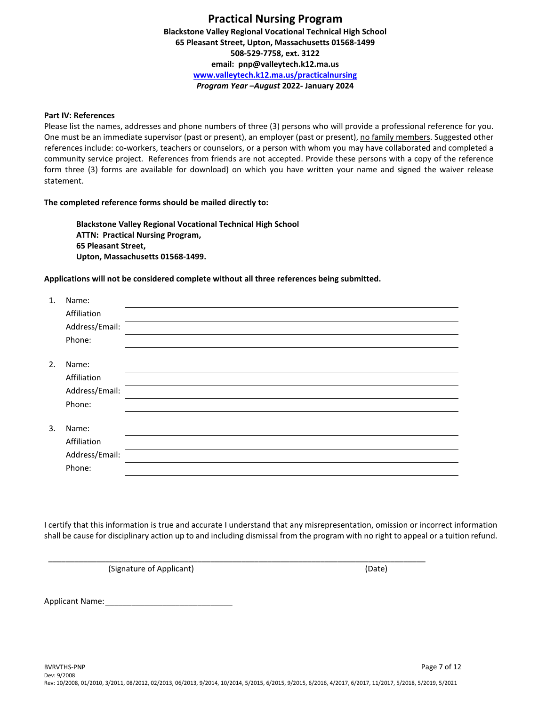#### **Part IV: References**

Please list the names, addresses and phone numbers of three (3) persons who will provide a professional reference for you. One must be an immediate supervisor (past or present), an employer (past or present), no family members. Suggested other references include: co-workers, teachers or counselors, or a person with whom you may have collaborated and completed a community service project. References from friends are not accepted. Provide these persons with a copy of the reference form three (3) forms are available for download) on which you have written your name and signed the waiver release statement.

#### **The completed reference forms should be mailed directly to:**

**Blackstone Valley Regional Vocational Technical High School ATTN: Practical Nursing Program, 65 Pleasant Street, Upton, Massachusetts 01568-1499.**

#### **Applications will not be considered complete without all three references being submitted.**

| 1. | Name:          |  |
|----|----------------|--|
|    | Affiliation    |  |
|    | Address/Email: |  |
|    | Phone:         |  |
|    |                |  |
| 2. | Name:          |  |
|    | Affiliation    |  |
|    | Address/Email: |  |
|    | Phone:         |  |
|    |                |  |
| 3. | Name:          |  |
|    | Affiliation    |  |
|    | Address/Email: |  |
|    | Phone:         |  |
|    |                |  |

I certify that this information is true and accurate I understand that any misrepresentation, omission or incorrect information shall be cause for disciplinary action up to and including dismissal from the program with no right to appeal or a tuition refund.

(Signature of Applicant) (Date)

Applicant Name:

\_\_\_\_\_\_\_\_\_\_\_\_\_\_\_\_\_\_\_\_\_\_\_\_\_\_\_\_\_\_\_\_\_\_\_\_\_\_\_\_\_\_\_\_\_\_\_\_\_\_\_\_\_\_\_\_\_\_\_\_\_\_\_\_\_\_\_\_\_\_\_\_\_\_\_\_\_\_\_\_\_\_\_\_\_\_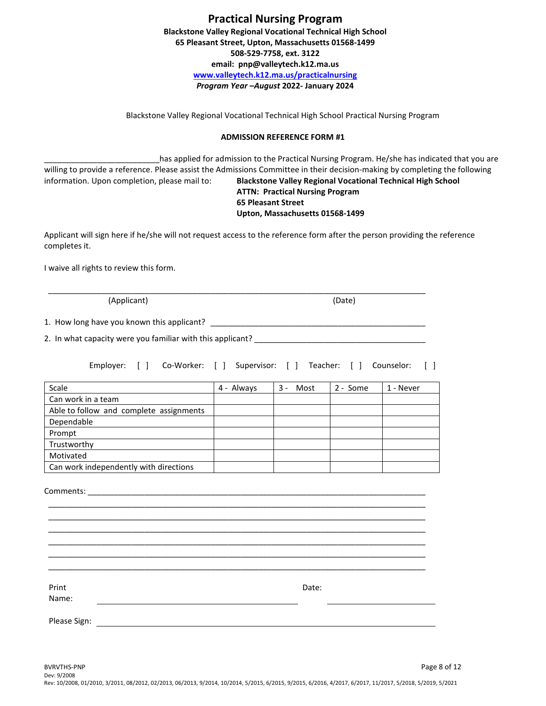Blackstone Valley Regional Vocational Technical High School Practical Nursing Program

#### **ADMISSION REFERENCE FORM #1**

\_\_\_\_\_\_\_\_\_\_\_\_\_\_\_\_\_\_\_\_\_\_\_\_\_\_has applied for admission to the Practical Nursing Program. He/she has indicated that you are willing to provide a reference. Please assist the Admissions Committee in their decision-making by completing the following information. Upon completion, please mail to: **Blackstone Valley Regional Vocational Technical High School ATTN: Practical Nursing Program**

#### **65 Pleasant Street Upton, Massachusetts 01568-1499**

Applicant will sign here if he/she will not request access to the reference form after the person providing the reference completes it.

I waive all rights to review this form.

(Applicant) (Date)

1. How long have you known this applicant? \_\_\_\_\_\_\_\_\_\_\_\_\_\_\_\_\_\_\_\_\_\_\_\_\_\_\_\_\_\_\_\_\_\_\_\_\_\_\_\_\_\_\_\_\_\_\_\_\_

2. In what capacity were you familiar with this applicant? \_\_\_\_\_\_\_\_\_\_\_\_\_\_\_\_\_\_\_\_\_

Employer: [ ] Co-Worker: [ ] Supervisor: [ ] Teacher: [ ] Counselor: [ ]

| Scale                                   | 4 - Always | Most<br>3 - | 2 - Some | 1 - Never |
|-----------------------------------------|------------|-------------|----------|-----------|
| Can work in a team                      |            |             |          |           |
| Able to follow and complete assignments |            |             |          |           |
| Dependable                              |            |             |          |           |
| Prompt                                  |            |             |          |           |
| Trustworthy                             |            |             |          |           |
| Motivated                               |            |             |          |           |
| Can work independently with directions  |            |             |          |           |

\_\_\_\_\_\_\_\_\_\_\_\_\_\_\_\_\_\_\_\_\_\_\_\_\_\_\_\_\_\_\_\_\_\_\_\_\_\_\_\_\_\_\_\_\_\_\_\_\_\_\_\_\_\_\_\_\_\_\_\_\_\_\_\_\_\_\_\_\_\_\_\_\_\_\_\_\_\_\_\_\_\_\_\_\_\_

| Print        | Date: |
|--------------|-------|
| Name:        |       |
|              |       |
| Please Sign: |       |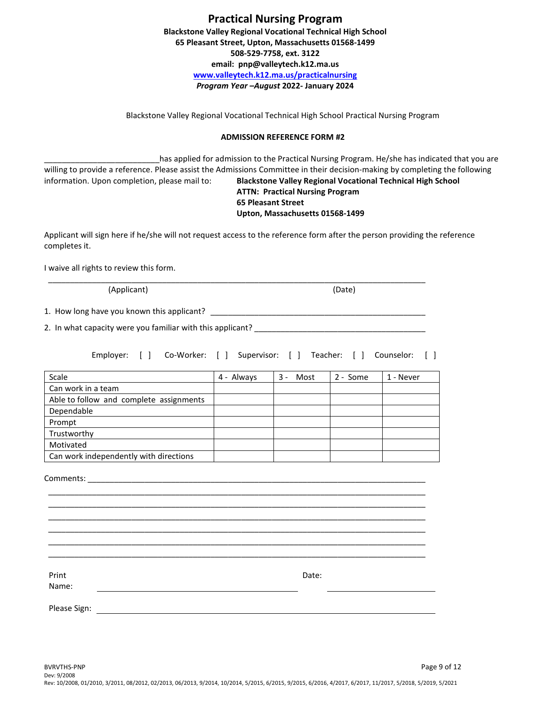| <b>Practical Nursing Program</b>                                   |  |
|--------------------------------------------------------------------|--|
| <b>Blackstone Valley Regional Vocational Technical High School</b> |  |
| 65 Pleasant Street, Upton, Massachusetts 01568-1499                |  |
| 508-529-7758, ext. 3122                                            |  |
| email: pnp@valleytech.k12.ma.us                                    |  |
| www.valleytech.k12.ma.us/practicalnursing                          |  |
| Program Year-August 2022- January 2024                             |  |

Blackstone Valley Regional Vocational Technical High School Practical Nursing Program

#### **ADMISSION REFERENCE FORM #2**

has applied for admission to the Practical Nursing Program. He/she has indicated that you are willing to provide a reference. Please assist the Admissions Committee in their decision-making by completing the following information. Upon completion, please mail to: **Blackstone Valley Regional Vocational Technical High School ATTN: Practical Nursing Program 65 Pleasant Street**

## **Upton, Massachusetts 01568-1499**

Applicant will sign here if he/she will not request access to the reference form after the person providing the reference completes it.

\_\_\_\_\_\_\_\_\_\_\_\_\_\_\_\_\_\_\_\_\_\_\_\_\_\_\_\_\_\_\_\_\_\_\_\_\_\_\_\_\_\_\_\_\_\_\_\_\_\_\_\_\_\_\_\_\_\_\_\_\_\_\_\_\_\_\_\_\_\_\_\_\_\_\_\_\_\_\_\_\_\_\_\_\_\_

I waive all rights to review this form.

(Applicant) (Date)

1. How long have you known this applicant? \_\_\_\_\_\_\_\_\_\_\_\_\_\_\_\_\_\_\_\_\_\_\_\_\_\_\_\_\_\_\_\_\_\_\_\_\_\_\_\_\_\_\_\_\_\_\_\_\_

2. In what capacity were you familiar with this applicant? \_\_\_\_\_\_\_\_\_\_\_\_\_\_\_\_\_\_\_\_\_

Employer: [ ] Co-Worker: [ ] Supervisor: [ ] Teacher: [ ] Counselor: [ ]

| Scale                                   | 4 - Always | 3<br>Most | 2 - Some | 1 - Never |
|-----------------------------------------|------------|-----------|----------|-----------|
| Can work in a team                      |            |           |          |           |
| Able to follow and complete assignments |            |           |          |           |
| Dependable                              |            |           |          |           |
| Prompt                                  |            |           |          |           |
| Trustworthy                             |            |           |          |           |
| Motivated                               |            |           |          |           |
| Can work independently with directions  |            |           |          |           |

\_\_\_\_\_\_\_\_\_\_\_\_\_\_\_\_\_\_\_\_\_\_\_\_\_\_\_\_\_\_\_\_\_\_\_\_\_\_\_\_\_\_\_\_\_\_\_\_\_\_\_\_\_\_\_\_\_\_\_\_\_\_\_\_\_\_\_\_\_\_\_\_\_\_\_\_\_\_\_\_\_\_\_\_\_\_ \_\_\_\_\_\_\_\_\_\_\_\_\_\_\_\_\_\_\_\_\_\_\_\_\_\_\_\_\_\_\_\_\_\_\_\_\_\_\_\_\_\_\_\_\_\_\_\_\_\_\_\_\_\_\_\_\_\_\_\_\_\_\_\_\_\_\_\_\_\_\_\_\_\_\_\_\_\_\_\_\_\_\_\_\_\_ \_\_\_\_\_\_\_\_\_\_\_\_\_\_\_\_\_\_\_\_\_\_\_\_\_\_\_\_\_\_\_\_\_\_\_\_\_\_\_\_\_\_\_\_\_\_\_\_\_\_\_\_\_\_\_\_\_\_\_\_\_\_\_\_\_\_\_\_\_\_\_\_\_\_\_\_\_\_\_\_\_\_\_\_\_\_ \_\_\_\_\_\_\_\_\_\_\_\_\_\_\_\_\_\_\_\_\_\_\_\_\_\_\_\_\_\_\_\_\_\_\_\_\_\_\_\_\_\_\_\_\_\_\_\_\_\_\_\_\_\_\_\_\_\_\_\_\_\_\_\_\_\_\_\_\_\_\_\_\_\_\_\_\_\_\_\_\_\_\_\_\_\_ \_\_\_\_\_\_\_\_\_\_\_\_\_\_\_\_\_\_\_\_\_\_\_\_\_\_\_\_\_\_\_\_\_\_\_\_\_\_\_\_\_\_\_\_\_\_\_\_\_\_\_\_\_\_\_\_\_\_\_\_\_\_\_\_\_\_\_\_\_\_\_\_\_\_\_\_\_\_\_\_\_\_\_\_\_\_ \_\_\_\_\_\_\_\_\_\_\_\_\_\_\_\_\_\_\_\_\_\_\_\_\_\_\_\_\_\_\_\_\_\_\_\_\_\_\_\_\_\_\_\_\_\_\_\_\_\_\_\_\_\_\_\_\_\_\_\_\_\_\_\_\_\_\_\_\_\_\_\_\_\_\_\_\_\_\_\_\_\_\_\_\_\_

Comments: \_\_\_\_\_\_\_\_\_\_\_\_\_\_\_\_\_\_\_\_\_\_\_\_\_\_\_\_\_\_\_\_\_\_\_\_\_\_\_\_\_\_\_\_\_\_\_\_\_\_\_\_\_\_\_\_\_\_\_\_\_\_\_\_\_\_\_\_\_\_\_\_\_\_\_\_\_

Date:

Print Name:

Please Sign: The Contract of the Contract of The Contract of The Contract of The Contract of The Contract of The Contract of The Contract of The Contract of The Contract of The Contract of The Contract of The Contract of T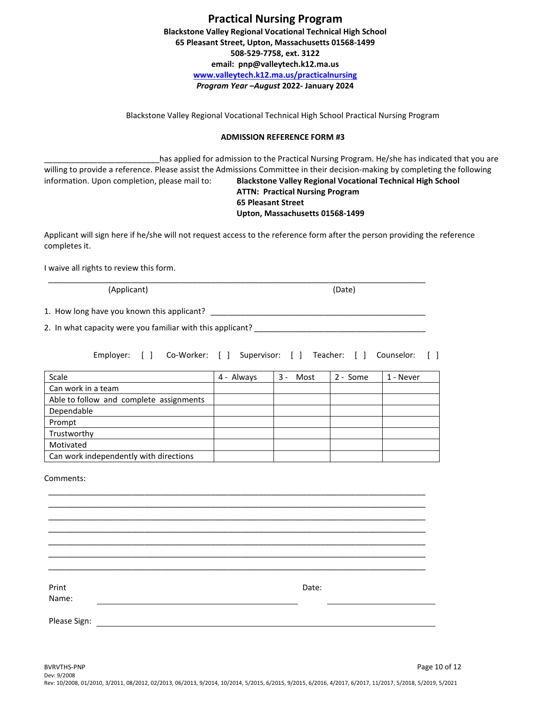| <b>Practical Nursing Program</b>                                   |  |
|--------------------------------------------------------------------|--|
| <b>Blackstone Valley Regional Vocational Technical High School</b> |  |
| 65 Pleasant Street, Upton, Massachusetts 01568-1499                |  |
| 508-529-7758, ext. 3122                                            |  |
| email: pnp@valleytech.k12.ma.us                                    |  |
| www.valleytech.k12.ma.us/practicalnursing                          |  |
| Program Year-August 2022- January 2024                             |  |

Blackstone Valley Regional Vocational Technical High School Practical Nursing Program

#### **ADMISSION REFERENCE FORM #3**

has applied for admission to the Practical Nursing Program. He/she has indicated that you are willing to provide a reference. Please assist the Admissions Committee in their decision-making by completing the following information. Upon completion, please mail to: **Blackstone Valley Regional Vocational Technical High School ATTN: Practical Nursing Program 65 Pleasant Street**

## **Upton, Massachusetts 01568-1499**

Applicant will sign here if he/she will not request access to the reference form after the person providing the reference completes it.

\_\_\_\_\_\_\_\_\_\_\_\_\_\_\_\_\_\_\_\_\_\_\_\_\_\_\_\_\_\_\_\_\_\_\_\_\_\_\_\_\_\_\_\_\_\_\_\_\_\_\_\_\_\_\_\_\_\_\_\_\_\_\_\_\_\_\_\_\_\_\_\_\_\_\_\_\_\_\_\_\_\_\_\_\_\_

I waive all rights to review this form.

(Applicant) (Date)

1. How long have you known this applicant? \_\_\_\_\_\_\_\_\_\_\_\_\_\_\_\_\_\_\_\_\_\_\_\_\_\_\_\_\_\_\_\_\_\_\_\_\_\_\_\_\_\_\_\_\_\_\_\_\_

2. In what capacity were you familiar with this applicant? \_\_\_\_\_\_\_\_\_\_\_\_\_\_\_\_\_\_\_\_\_

Employer: [ ] Co-Worker: [ ] Supervisor: [ ] Teacher: [ ] Counselor: [ ]

| Scale                                   | 4 - Always | 3 -<br>Most | 2 - Some | 1 - Never |
|-----------------------------------------|------------|-------------|----------|-----------|
| Can work in a team                      |            |             |          |           |
| Able to follow and complete assignments |            |             |          |           |
| Dependable                              |            |             |          |           |
| Prompt                                  |            |             |          |           |
| Trustworthy                             |            |             |          |           |
| Motivated                               |            |             |          |           |
| Can work independently with directions  |            |             |          |           |

\_\_\_\_\_\_\_\_\_\_\_\_\_\_\_\_\_\_\_\_\_\_\_\_\_\_\_\_\_\_\_\_\_\_\_\_\_\_\_\_\_\_\_\_\_\_\_\_\_\_\_\_\_\_\_\_\_\_\_\_\_\_\_\_\_\_\_\_\_\_\_\_\_\_\_\_\_\_\_\_\_\_\_\_\_\_ \_\_\_\_\_\_\_\_\_\_\_\_\_\_\_\_\_\_\_\_\_\_\_\_\_\_\_\_\_\_\_\_\_\_\_\_\_\_\_\_\_\_\_\_\_\_\_\_\_\_\_\_\_\_\_\_\_\_\_\_\_\_\_\_\_\_\_\_\_\_\_\_\_\_\_\_\_\_\_\_\_\_\_\_\_\_ \_\_\_\_\_\_\_\_\_\_\_\_\_\_\_\_\_\_\_\_\_\_\_\_\_\_\_\_\_\_\_\_\_\_\_\_\_\_\_\_\_\_\_\_\_\_\_\_\_\_\_\_\_\_\_\_\_\_\_\_\_\_\_\_\_\_\_\_\_\_\_\_\_\_\_\_\_\_\_\_\_\_\_\_\_\_ \_\_\_\_\_\_\_\_\_\_\_\_\_\_\_\_\_\_\_\_\_\_\_\_\_\_\_\_\_\_\_\_\_\_\_\_\_\_\_\_\_\_\_\_\_\_\_\_\_\_\_\_\_\_\_\_\_\_\_\_\_\_\_\_\_\_\_\_\_\_\_\_\_\_\_\_\_\_\_\_\_\_\_\_\_\_ \_\_\_\_\_\_\_\_\_\_\_\_\_\_\_\_\_\_\_\_\_\_\_\_\_\_\_\_\_\_\_\_\_\_\_\_\_\_\_\_\_\_\_\_\_\_\_\_\_\_\_\_\_\_\_\_\_\_\_\_\_\_\_\_\_\_\_\_\_\_\_\_\_\_\_\_\_\_\_\_\_\_\_\_\_\_ \_\_\_\_\_\_\_\_\_\_\_\_\_\_\_\_\_\_\_\_\_\_\_\_\_\_\_\_\_\_\_\_\_\_\_\_\_\_\_\_\_\_\_\_\_\_\_\_\_\_\_\_\_\_\_\_\_\_\_\_\_\_\_\_\_\_\_\_\_\_\_\_\_\_\_\_\_\_\_\_\_\_\_\_\_\_ \_\_\_\_\_\_\_\_\_\_\_\_\_\_\_\_\_\_\_\_\_\_\_\_\_\_\_\_\_\_\_\_\_\_\_\_\_\_\_\_\_\_\_\_\_\_\_\_\_\_\_\_\_\_\_\_\_\_\_\_\_\_\_\_\_\_\_\_\_\_\_\_\_\_\_\_\_\_\_\_\_\_\_\_\_\_

Comments:

Date:

Print Name:

Please Sign: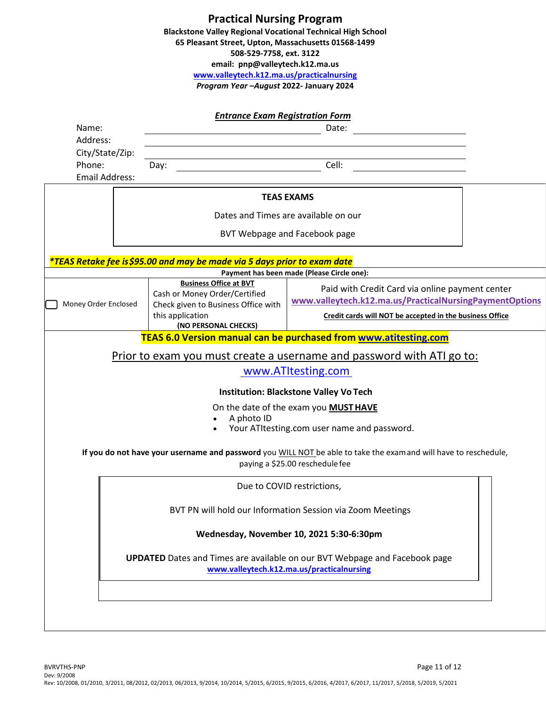|                                                                                                                                                                                                                                                                                                                                                     | <b>Practical Nursing Program</b><br><b>Blackstone Valley Regional Vocational Technical High School</b><br>65 Pleasant Street, Upton, Massachusetts 01568-1499<br>508-529-7758, ext. 3122<br>email: pnp@valleytech.k12.ma.us<br>www.valleytech.k12.ma.us/practicalnursing<br>Program Year - August 2022- January 2024 |                                                                  |  |
|-----------------------------------------------------------------------------------------------------------------------------------------------------------------------------------------------------------------------------------------------------------------------------------------------------------------------------------------------------|----------------------------------------------------------------------------------------------------------------------------------------------------------------------------------------------------------------------------------------------------------------------------------------------------------------------|------------------------------------------------------------------|--|
| Name:                                                                                                                                                                                                                                                                                                                                               | <b>Entrance Exam Registration Form</b>                                                                                                                                                                                                                                                                               | Date:                                                            |  |
| Address:                                                                                                                                                                                                                                                                                                                                            |                                                                                                                                                                                                                                                                                                                      |                                                                  |  |
| City/State/Zip:<br>Phone:<br><b>Email Address:</b>                                                                                                                                                                                                                                                                                                  | Day:                                                                                                                                                                                                                                                                                                                 | Cell:                                                            |  |
|                                                                                                                                                                                                                                                                                                                                                     |                                                                                                                                                                                                                                                                                                                      | <b>TEAS EXAMS</b>                                                |  |
| Dates and Times are available on our                                                                                                                                                                                                                                                                                                                |                                                                                                                                                                                                                                                                                                                      |                                                                  |  |
|                                                                                                                                                                                                                                                                                                                                                     |                                                                                                                                                                                                                                                                                                                      | BVT Webpage and Facebook page                                    |  |
|                                                                                                                                                                                                                                                                                                                                                     | *TEAS Retake fee is\$95.00 and may be made via 5 days prior to exam date                                                                                                                                                                                                                                             |                                                                  |  |
|                                                                                                                                                                                                                                                                                                                                                     |                                                                                                                                                                                                                                                                                                                      | Payment has been made (Please Circle one):                       |  |
| <b>Business Office at BVT</b><br>Paid with Credit Card via online payment center<br>Cash or Money Order/Certified<br>www.valleytech.k12.ma.us/PracticalNursingPaymentOptions<br>Money Order Enclosed<br>Check given to Business Office with<br>this application<br>Credit cards will NOT be accepted in the business Office<br>(NO PERSONAL CHECKS) |                                                                                                                                                                                                                                                                                                                      |                                                                  |  |
|                                                                                                                                                                                                                                                                                                                                                     |                                                                                                                                                                                                                                                                                                                      | TEAS 6.0 Version manual can be purchased from www.atitesting.com |  |
| Prior to exam you must create a username and password with ATI go to:                                                                                                                                                                                                                                                                               |                                                                                                                                                                                                                                                                                                                      |                                                                  |  |
| www.ATItesting.com                                                                                                                                                                                                                                                                                                                                  |                                                                                                                                                                                                                                                                                                                      |                                                                  |  |
|                                                                                                                                                                                                                                                                                                                                                     |                                                                                                                                                                                                                                                                                                                      | <b>Institution: Blackstone Valley Vo Tech</b>                    |  |
| On the date of the exam you MUST HAVE<br>A photo ID<br>$\bullet$                                                                                                                                                                                                                                                                                    |                                                                                                                                                                                                                                                                                                                      |                                                                  |  |

• Your ATItesting.com user name and password.

**If you do not have your username and password** you WILL NOT be able to take the examand will have to reschedule, paying a \$25.00 reschedule fee

Due to COVID restrictions,

BVT PN will hold our Information Session via Zoom Meetings

## **Wednesday, November 10, 2021 5:30-6:30pm**

**UPDATED** Dates and Times are available on our BVT Webpage and Facebook page **[www.valleytech.k12.ma.us/practicalnursing](http://www.valleytech.k12.ma.us/practicalnursing)**